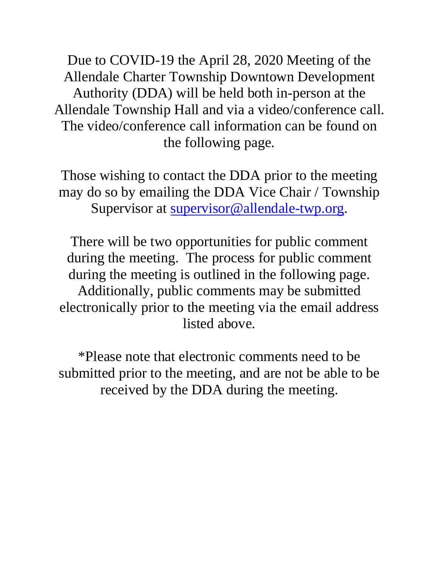Due to COVID-19 the April 28, 2020 Meeting of the Allendale Charter Township Downtown Development Authority (DDA) will be held both in-person at the Allendale Township Hall and via a video/conference call. The video/conference call information can be found on the following page.

Those wishing to contact the DDA prior to the meeting may do so by emailing the DDA Vice Chair / Township Supervisor at [supervisor@allendale-twp.org.](mailto:supervisor@allendale-twp.org)

There will be two opportunities for public comment during the meeting. The process for public comment during the meeting is outlined in the following page. Additionally, public comments may be submitted electronically prior to the meeting via the email address listed above.

\*Please note that electronic comments need to be submitted prior to the meeting, and are not be able to be received by the DDA during the meeting.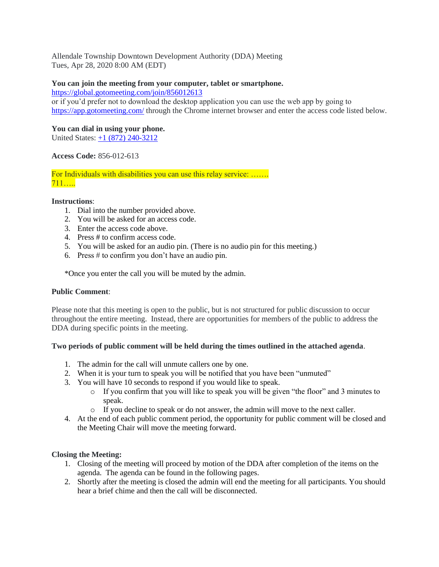Allendale Township Downtown Development Authority (DDA) Meeting Tues, Apr 28, 2020 8:00 AM (EDT)

## **You can join the meeting from your computer, tablet or smartphone.**

<https://global.gotomeeting.com/join/856012613>

or if you'd prefer not to download the desktop application you can use the web app by going to <https://app.gotomeeting.com/> through the Chrome internet browser and enter the access code listed below.

# **You can dial in using your phone.**

United States: +1 (872) 240-3212

## **Access Code:** 856-012-613

For Individuals with disabilities you can use this relay service: …….  $711$ ….

### **Instructions**:

- 1. Dial into the number provided above.
- 2. You will be asked for an access code.
- 3. Enter the access code above.
- 4. Press # to confirm access code.
- 5. You will be asked for an audio pin. (There is no audio pin for this meeting.)
- 6. Press # to confirm you don't have an audio pin.

\*Once you enter the call you will be muted by the admin.

### **Public Comment**:

Please note that this meeting is open to the public, but is not structured for public discussion to occur throughout the entire meeting. Instead, there are opportunities for members of the public to address the DDA during specific points in the meeting.

### **Two periods of public comment will be held during the times outlined in the attached agenda**.

- 1. The admin for the call will unmute callers one by one.
- 2. When it is your turn to speak you will be notified that you have been "unmuted"
- 3. You will have 10 seconds to respond if you would like to speak.
	- $\circ$  If you confirm that you will like to speak you will be given "the floor" and 3 minutes to speak.
	- o If you decline to speak or do not answer, the admin will move to the next caller.
- 4. At the end of each public comment period, the opportunity for public comment will be closed and the Meeting Chair will move the meeting forward.

# **Closing the Meeting:**

- 1. Closing of the meeting will proceed by motion of the DDA after completion of the items on the agenda. The agenda can be found in the following pages.
- 2. Shortly after the meeting is closed the admin will end the meeting for all participants. You should hear a brief chime and then the call will be disconnected.